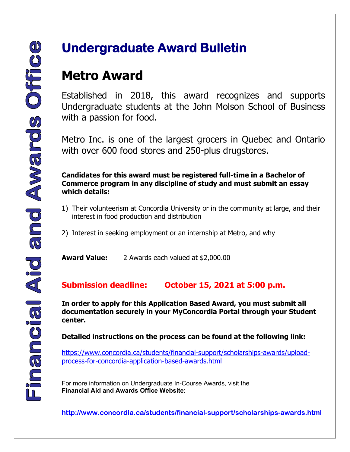## **Undergraduate Award Bulletin**

## **Metro Award**

Established in 2018, this award recognizes and supports Undergraduate students at the John Molson School of Business with a passion for food.

Metro Inc. is one of the largest grocers in Quebec and Ontario with over 600 food stores and 250-plus drugstores.

**Candidates for this award must be registered full-time in a Bachelor of Commerce program in any discipline of study and must submit an essay which details:**

- 1) Their volunteerism at Concordia University or in the community at large, and their interest in food production and distribution
- 2) Interest in seeking employment or an internship at Metro, and why

**Award Value:** 2 Awards each valued at \$2,000.00

**Submission deadline: October 15, 2021 at 5:00 p.m.**

**In order to apply for this Application Based Award, you must submit all documentation securely in your MyConcordia Portal through your Student center.** 

**Detailed instructions on the process can be found at the following link:** 

[https://www.concordia.ca/students/financial-support/scholarships-awards/upload](https://www.concordia.ca/students/financial-support/scholarships-awards/upload-process-for-concordia-application-based-awards.html)[process-for-concordia-application-based-awards.html](https://www.concordia.ca/students/financial-support/scholarships-awards/upload-process-for-concordia-application-based-awards.html)

 For more information on Undergraduate In-Course Awards, visit the **Financial Aid and Awards Office Website**:

 **<http://www.concordia.ca/students/financial-support/scholarships-awards.html>**